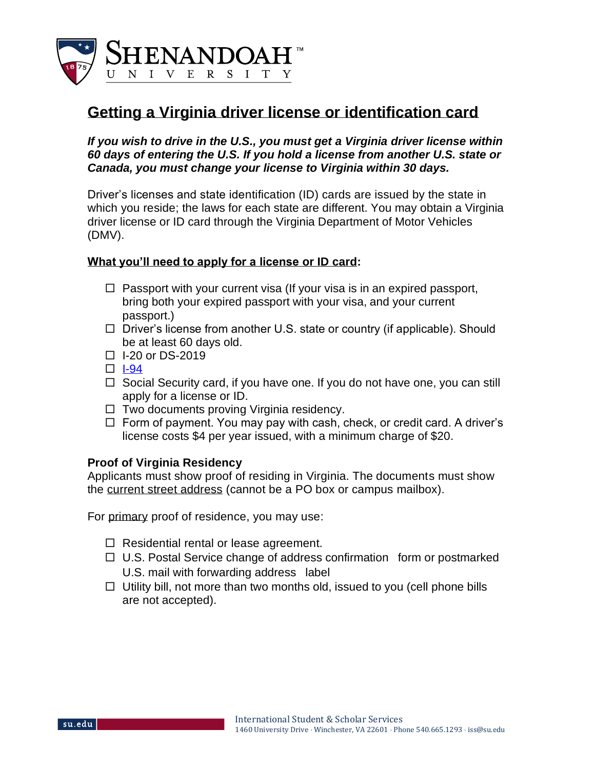

# **Getting a Virginia driver license or identification card**

*If you wish to drive in the U.S., you must get a Virginia driver license within 60 days of entering the U.S. If you hold a license from another U.S. state or Canada, you must change your license to Virginia within 30 days.* 

Driver's licenses and state identification (ID) cards are issued by the state in which you reside; the laws for each state are different. You may obtain a Virginia driver license or ID card through the Virginia Department of Motor Vehicles (DMV).

#### **What you'll need to apply for a license or ID card:**

- $\Box$  Passport with your current visa (If your visa is in an expired passport, bring both your expired passport with your visa, and your current passport.)
- $\Box$  Driver's license from another U.S. state or country (if applicable). Should be at least 60 days old.
- $\Box$  I-20 or DS-2019
- $\Box$  [I-94](https://i94.cbp.dhs.gov/)
- $\Box$  Social Security card, if you have one. If you do not have one, you can still apply for a license or ID.
- $\Box$  Two documents proving Virginia residency.
- $\Box$  Form of payment. You may pay with cash, check, or credit card. A driver's license costs \$4 per year issued, with a minimum charge of \$20.

## **Proof of Virginia Residency**

Applicants must show proof of residing in Virginia. The documents must show the current street address (cannot be a PO box or campus mailbox).

For primary proof of residence, you may use:

- $\Box$  Residential rental or lease agreement.
- $\Box$  U.S. Postal Service change of address confirmation form or postmarked U.S. mail with forwarding address label
- $\Box$  Utility bill, not more than two months old, issued to you (cell phone bills are not accepted).